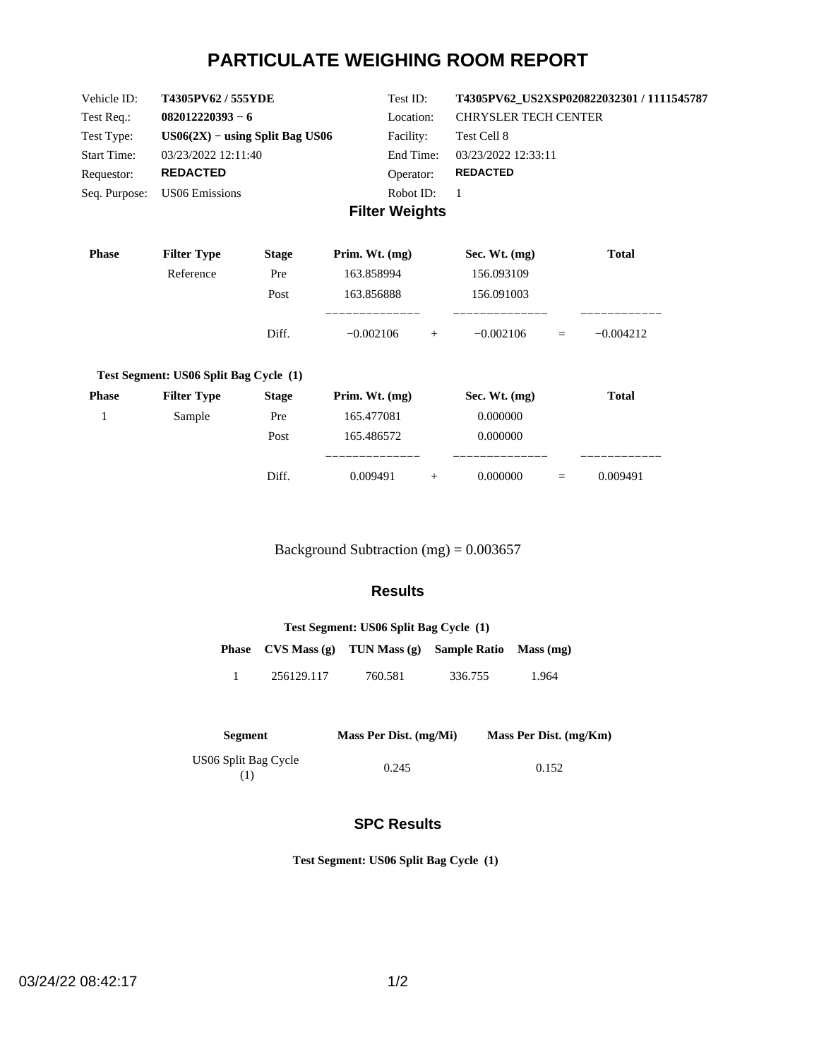# **PARTICULATE WEIGHING ROOM REPORT**

| Vehicle ID:        | T4305PV62/555YDE                  | Test ID:              | T4305PV62 US2XSP020822032301 / 1111545787 |
|--------------------|-----------------------------------|-----------------------|-------------------------------------------|
| Test Req.:         | $082012220393 - 6$                | Location:             | <b>CHRYSLER TECH CENTER</b>               |
| Test Type:         | $US06(2X) - using Split Bag US06$ | Facility:             | Test Cell 8                               |
| <b>Start Time:</b> | 03/23/2022 12:11:40               | End Time:             | 03/23/2022 12:33:11                       |
| Requestor:         | <b>REDACTED</b>                   | Operator:             | <b>REDACTED</b>                           |
| Seq. Purpose:      | US06 Emissions                    | Robot ID:             |                                           |
|                    |                                   | <b>Filter Weights</b> |                                           |

| <b>Phase</b> | <b>Filter Type</b>                     | <b>Stage</b> | Prim. Wt. $(mg)$ |     | Sec. Wt. $(mg)$ |     | <b>Total</b> |
|--------------|----------------------------------------|--------------|------------------|-----|-----------------|-----|--------------|
|              | Reference                              | Pre          | 163.858994       |     | 156.093109      |     |              |
|              |                                        | Post         | 163.856888       |     | 156.091003      |     |              |
|              |                                        | Diff.        | $-0.002106$      | $+$ | $-0.002106$     | $=$ | $-0.004212$  |
|              | Test Segment: US06 Split Bag Cycle (1) |              |                  |     |                 |     |              |
| <b>Phase</b> | <b>Filter Type</b>                     | <b>Stage</b> | Prim. Wt. $(mg)$ |     | Sec. Wt. $(mg)$ |     | <b>Total</b> |
|              | Sample                                 | Pre          | 165.477081       |     | 0.000000        |     |              |
|              |                                        | Post         | 165.486572       |     | 0.000000        |     |              |
|              |                                        |              |                  |     |                 |     |              |

Background Subtraction (mg) = 0.003657

Diff.  $0.009491 + 0.0000000 = 0.009491$ 

## **Results**

| Test Segment: US06 Split Bag Cycle (1) |            |                                                        |         |       |  |
|----------------------------------------|------------|--------------------------------------------------------|---------|-------|--|
|                                        |            | Phase CVS Mass (g) TUN Mass (g) Sample Ratio Mass (mg) |         |       |  |
| Т.                                     | 256129.117 | 760.581                                                | 336.755 | 1.964 |  |

| <b>Segment</b>            | Mass Per Dist. (mg/Mi) | Mass Per Dist. (mg/Km) |
|---------------------------|------------------------|------------------------|
| US06 Split Bag Cycle<br>ν | 0.245                  | 0.152                  |

## **SPC Results**

**Test Segment: US06 Split Bag Cycle (1)**